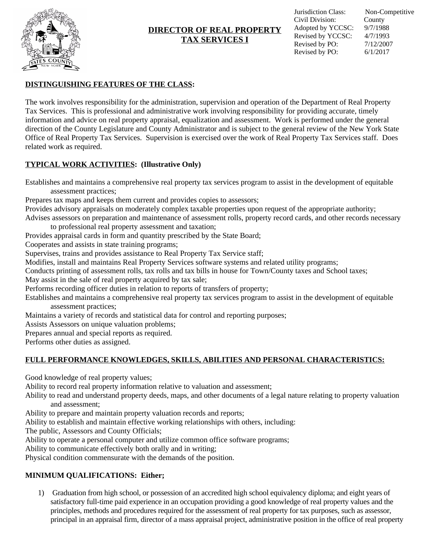

# **DIRECTOR OF REAL PROPERTY TAX SERVICES I**

## **DISTINGUISHING FEATURES OF THE CLASS:**

The work involves responsibility for the administration, supervision and operation of the Department of Real Property Tax Services. This is professional and administrative work involving responsibility for providing accurate, timely information and advice on real property appraisal, equalization and assessment. Work is performed under the general direction of the County Legislature and County Administrator and is subject to the general review of the New York State Office of Real Property Tax Services. Supervision is exercised over the work of Real Property Tax Services staff. Does related work as required.

# **TYPICAL WORK ACTIVITIES: (Illustrative Only)**

Establishes and maintains a comprehensive real property tax services program to assist in the development of equitable assessment practices;

Prepares tax maps and keeps them current and provides copies to assessors;

Provides advisory appraisals on moderately complex taxable properties upon request of the appropriate authority;

Advises assessors on preparation and maintenance of assessment rolls, property record cards, and other records necessary to professional real property assessment and taxation;

Provides appraisal cards in form and quantity prescribed by the State Board;

Cooperates and assists in state training programs;

Supervises, trains and provides assistance to Real Property Tax Service staff;

Modifies, install and maintains Real Property Services software systems and related utility programs;

Conducts printing of assessment rolls, tax rolls and tax bills in house for Town/County taxes and School taxes;

May assist in the sale of real property acquired by tax sale;

Performs recording officer duties in relation to reports of transfers of property;

Establishes and maintains a comprehensive real property tax services program to assist in the development of equitable assessment practices;

Maintains a variety of records and statistical data for control and reporting purposes;

Assists Assessors on unique valuation problems;

Prepares annual and special reports as required.

Performs other duties as assigned.

## **FULL PERFORMANCE KNOWLEDGES, SKILLS, ABILITIES AND PERSONAL CHARACTERISTICS:**

Good knowledge of real property values;

Ability to record real property information relative to valuation and assessment;

Ability to read and understand property deeds, maps, and other documents of a legal nature relating to property valuation and assessment;

Ability to prepare and maintain property valuation records and reports;

Ability to establish and maintain effective working relationships with others, including:

The public, Assessors and County Officials;

Ability to operate a personal computer and utilize common office software programs;

Ability to communicate effectively both orally and in writing;

Physical condition commensurate with the demands of the position.

## **MINIMUM QUALIFICATIONS: Either;**

1) Graduation from high school, or possession of an accredited high school equivalency diploma; and eight years of satisfactory full-time paid experience in an occupation providing a good knowledge of real property values and the principles, methods and procedures required for the assessment of real property for tax purposes, such as assessor, principal in an appraisal firm, director of a mass appraisal project, administrative position in the office of real property